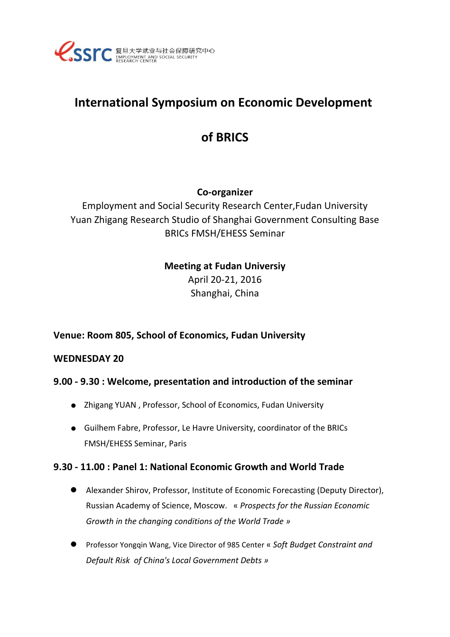

## **International Symposium on Economic Development**

# **of BRICS**

## **Co-organizer**

Employment and Social Security Research Center,Fudan University Yuan Zhigang Research Studio of Shanghai Government Consulting Base BRICs FMSH/EHESS Seminar

## **Meeting at Fudan Universiy**

April 20-21, 2016 Shanghai, China

**Venue: Room 805, School of Economics, Fudan University**

## **WEDNESDAY 20**

## **9.00 - 9.30 : Welcome, presentation and introduction of the seminar**

- Zhigang YUAN , Professor, School of Economics, Fudan University
- Guilhem Fabre, Professor, Le Havre University, coordinator of the BRICs FMSH/EHESS Seminar, Paris

## **9.30 - 11.00 : Panel 1: National Economic Growth and World Trade**

- Alexander Shirov, Professor, Institute of Economic Forecasting (Deputy Director), Russian Academy of Science, Moscow. « *Prospects for the Russian Economic Growth in the changing conditions of the World Trade »*
- Professor Yongqin Wang, Vice Director of 985 Center « *Soft Budget Constraint and Default Risk of China's Local Government Debts »*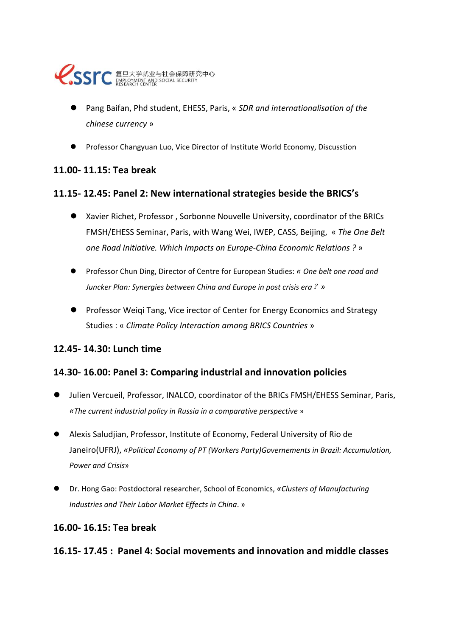

- Pang Baifan, Phd student, EHESS, Paris, « *SDR and internationalisation of the chinese currency* »
- Professor Changyuan Luo, Vice Director of Institute World Economy, Discusstion

#### **11.00- 11.15: Tea break**

#### **11.15- 12.45: Panel 2: New international strategies beside the BRICS's**

- Xavier Richet, Professor , Sorbonne Nouvelle University, coordinator of the BRICs FMSH/EHESS Seminar, Paris, with Wang Wei, IWEP, CASS, Beijing, « *The One Belt one Road Initiative. Which Impacts on Europe-China Economic Relations ?* »
- Professor Chun Ding, Director of Centre for European Studies: *« One belt one road and Juncker Plan: Synergies between China and Europe in post crisis era*?*»*
- **•** Professor Weigi Tang, Vice irector of Center for Energy Economics and Strategy Studies : « *Climate Policy Interaction among BRICS Countries* »

## **12.45- 14.30: Lunch time**

#### **14.30- 16.00: Panel 3: Comparing industrial and innovation policies**

- Julien Vercueil, Professor, INALCO, coordinator of the BRICs FMSH/EHESS Seminar, Paris, *«The current industrial policy in Russia in a comparative perspective* »
- Alexis Saludjian, Professor, Institute of Economy, Federal University of Rio de Janeiro(UFRJ), *«Political Economy of PT (Workers Party)Governements in Brazil: Accumulation, Power and Crisis*»
- Dr. Hong Gao: Postdoctoral researcher, School of Economics, *«Clusters of Manufacturing Industries and Their Labor Market Effects in China*. »

#### **16.00- 16.15: Tea break**

**16.15- 17.45 : Panel 4: Social movements and innovation and middle classes**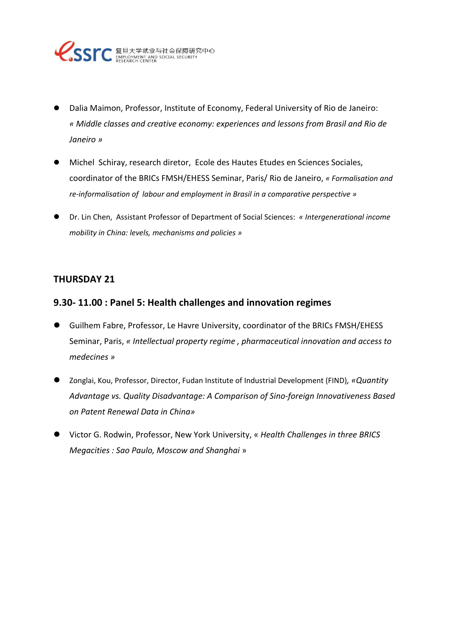

- Dalia Maimon, Professor, Institute of Economy, Federal University of Rio de Janeiro: *« Middle classes and creative economy: experiences and lessons from Brasil and Rio de Janeiro »*
- Michel Schiray, research diretor, Ecole des Hautes Etudes en Sciences Sociales, coordinator of the BRICs FMSH/EHESS Seminar, Paris/ Rio de Janeiro, *« Formalisation and re-informalisation of labour and employment in Brasil in a comparative perspective »*
- Dr. Lin Chen, Assistant Professor of Department of Social Sciences: *« Intergenerational income mobility in China: levels, mechanisms and policies »*

#### **THURSDAY 21**

#### **9.30- 11.00 : Panel 5: Health challenges and innovation regimes**

- Guilhem Fabre, Professor, Le Havre University, coordinator of the BRICs FMSH/EHESS Seminar, Paris, *« Intellectual property regime , pharmaceutical innovation and access to medecines »*
- Zonglai, Kou, Professor, Director, Fudan Institute of Industrial Development (FIND)*, «Quantity Advantage vs. Quality Disadvantage: A Comparison of Sino-foreign Innovativeness Based on Patent Renewal Data in China»*
- Victor G. Rodwin, Professor, New York University, « *Health Challenges in three BRICS Megacities : Sao Paulo, Moscow and Shanghai* »